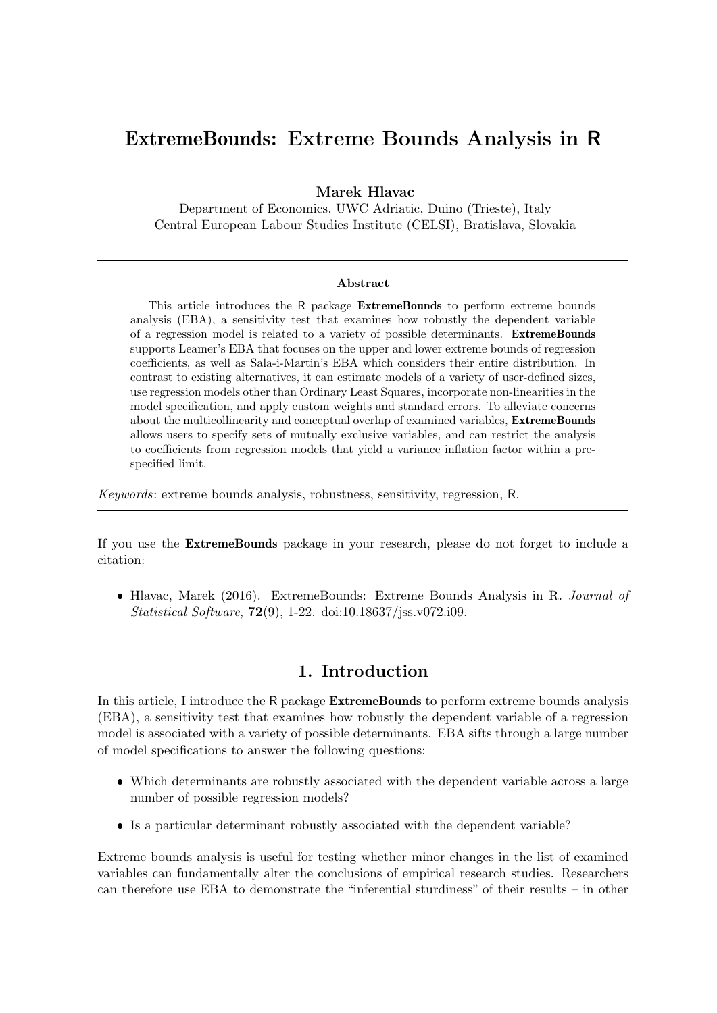# ExtremeBounds: Extreme Bounds Analysis in R

Marek Hlavac

Department of Economics, UWC Adriatic, Duino (Trieste), Italy Central European Labour Studies Institute (CELSI), Bratislava, Slovakia

#### Abstract

This article introduces the R package ExtremeBounds to perform extreme bounds analysis (EBA), a sensitivity test that examines how robustly the dependent variable of a regression model is related to a variety of possible determinants. ExtremeBounds supports Leamer's EBA that focuses on the upper and lower extreme bounds of regression coefficients, as well as Sala-i-Martin's EBA which considers their entire distribution. In contrast to existing alternatives, it can estimate models of a variety of user-defined sizes, use regression models other than Ordinary Least Squares, incorporate non-linearities in the model specification, and apply custom weights and standard errors. To alleviate concerns about the multicollinearity and conceptual overlap of examined variables, ExtremeBounds allows users to specify sets of mutually exclusive variables, and can restrict the analysis to coefficients from regression models that yield a variance inflation factor within a prespecified limit.

Keywords: extreme bounds analysis, robustness, sensitivity, regression, R.

If you use the ExtremeBounds package in your research, please do not forget to include a citation:

• Hlavac, Marek (2016). ExtremeBounds: Extreme Bounds Analysis in R. Journal of Statistical Software, 72(9), 1-22. doi:10.18637/jss.v072.i09.

# 1. Introduction

In this article, I introduce the R package **ExtremeBounds** to perform extreme bounds analysis (EBA), a sensitivity test that examines how robustly the dependent variable of a regression model is associated with a variety of possible determinants. EBA sifts through a large number of model specifications to answer the following questions:

- Which determinants are robustly associated with the dependent variable across a large number of possible regression models?
- Is a particular determinant robustly associated with the dependent variable?

Extreme bounds analysis is useful for testing whether minor changes in the list of examined variables can fundamentally alter the conclusions of empirical research studies. Researchers can therefore use EBA to demonstrate the "inferential sturdiness" of their results – in other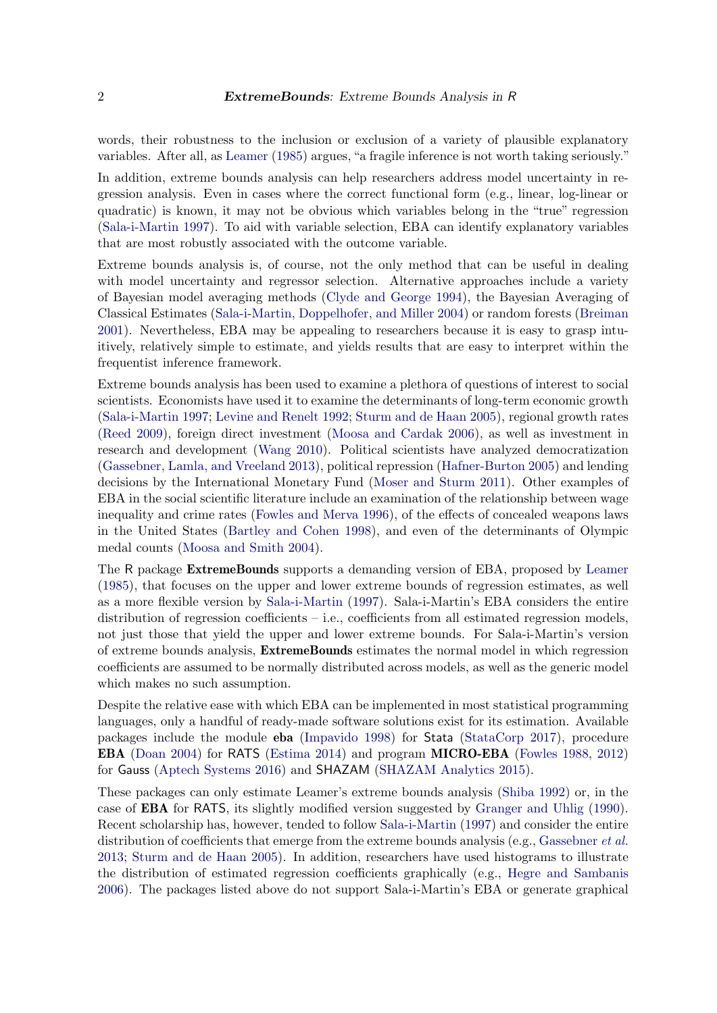words, their robustness to the inclusion or exclusion of a variety of plausible explanatory variables. After all, as [Leamer](#page-20-0) [\(1985\)](#page-20-0) argues, "a fragile inference is not worth taking seriously."

In addition, extreme bounds analysis can help researchers address model uncertainty in regression analysis. Even in cases where the correct functional form (e.g., linear, log-linear or quadratic) is known, it may not be obvious which variables belong in the "true" regression [\(Sala-i-Martin](#page-21-0) [1997\)](#page-21-0). To aid with variable selection, EBA can identify explanatory variables that are most robustly associated with the outcome variable.

Extreme bounds analysis is, of course, not the only method that can be useful in dealing with model uncertainty and regressor selection. Alternative approaches include a variety of Bayesian model averaging methods [\(Clyde and George](#page-19-0) [1994\)](#page-19-0), the Bayesian Averaging of Classical Estimates [\(Sala-i-Martin, Doppelhofer, and Miller](#page-21-1) [2004\)](#page-21-1) or random forests [\(Breiman](#page-19-1) [2001\)](#page-19-1). Nevertheless, EBA may be appealing to researchers because it is easy to grasp intuitively, relatively simple to estimate, and yields results that are easy to interpret within the frequentist inference framework.

Extreme bounds analysis has been used to examine a plethora of questions of interest to social scientists. Economists have used it to examine the determinants of long-term economic growth [\(Sala-i-Martin](#page-21-0) [1997;](#page-21-0) [Levine and Renelt](#page-20-1) [1992;](#page-20-1) [Sturm and de Haan](#page-21-2) [2005\)](#page-21-2), regional growth rates [\(Reed](#page-21-3) [2009\)](#page-21-3), foreign direct investment [\(Moosa and Cardak](#page-20-2) [2006\)](#page-20-2), as well as investment in research and development [\(Wang](#page-21-4) [2010\)](#page-21-4). Political scientists have analyzed democratization [\(Gassebner, Lamla, and Vreeland](#page-19-2) [2013\)](#page-19-2), political repression [\(Hafner-Burton](#page-19-3) [2005\)](#page-19-3) and lending decisions by the International Monetary Fund [\(Moser and Sturm](#page-20-3) [2011\)](#page-20-3). Other examples of EBA in the social scientific literature include an examination of the relationship between wage inequality and crime rates [\(Fowles and Merva](#page-19-4) [1996\)](#page-19-4), of the effects of concealed weapons laws in the United States [\(Bartley and Cohen](#page-18-0) [1998\)](#page-18-0), and even of the determinants of Olympic medal counts [\(Moosa and Smith](#page-20-4) [2004\)](#page-20-4).

The R package ExtremeBounds supports a demanding version of EBA, proposed by [Leamer](#page-20-0) [\(1985\)](#page-20-0), that focuses on the upper and lower extreme bounds of regression estimates, as well as a more flexible version by [Sala-i-Martin](#page-21-0) [\(1997\)](#page-21-0). Sala-i-Martin's EBA considers the entire distribution of regression coefficients – i.e., coefficients from all estimated regression models, not just those that yield the upper and lower extreme bounds. For Sala-i-Martin's version of extreme bounds analysis, ExtremeBounds estimates the normal model in which regression coefficients are assumed to be normally distributed across models, as well as the generic model which makes no such assumption.

Despite the relative ease with which EBA can be implemented in most statistical programming languages, only a handful of ready-made software solutions exist for its estimation. Available packages include the module eba [\(Impavido](#page-20-5) [1998\)](#page-20-5) for Stata [\(StataCorp](#page-21-5) [2017\)](#page-21-5), procedure EBA [\(Doan](#page-19-5) [2004\)](#page-19-5) for RATS [\(Estima](#page-19-6) [2014\)](#page-19-6) and program MICRO-EBA [\(Fowles](#page-19-7) [1988,](#page-19-7) [2012\)](#page-19-8) for Gauss [\(Aptech Systems](#page-18-1) [2016\)](#page-18-1) and SHAZAM [\(SHAZAM Analytics](#page-21-6) [2015\)](#page-21-6).

These packages can only estimate Leamer's extreme bounds analysis [\(Shiba](#page-21-7) [1992\)](#page-21-7) or, in the case of EBA for RATS, its slightly modified version suggested by [Granger and Uhlig](#page-19-9) [\(1990\)](#page-19-9). Recent scholarship has, however, tended to follow [Sala-i-Martin](#page-21-0) [\(1997\)](#page-21-0) and consider the entire distribution of coefficients that emerge from the extreme bounds analysis (e.g., [Gassebner](#page-19-2) *et al.*) [2013;](#page-19-2) [Sturm and de Haan](#page-21-2) [2005\)](#page-21-2). In addition, researchers have used histograms to illustrate the distribution of estimated regression coefficients graphically (e.g., [Hegre and Sambanis](#page-19-10) [2006\)](#page-19-10). The packages listed above do not support Sala-i-Martin's EBA or generate graphical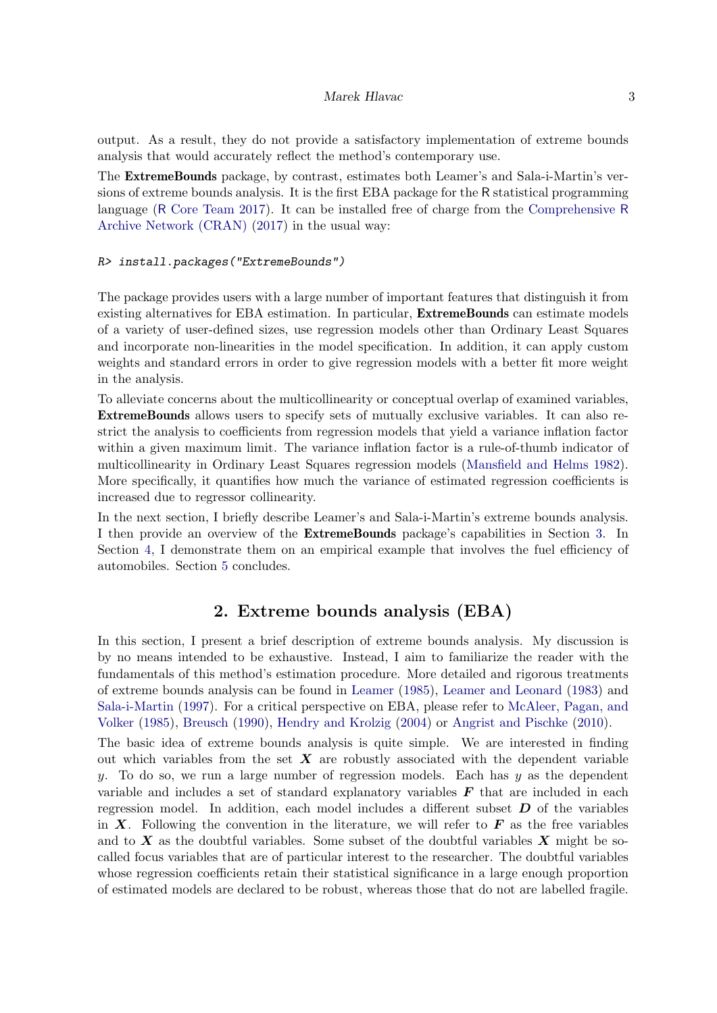output. As a result, they do not provide a satisfactory implementation of extreme bounds analysis that would accurately reflect the method's contemporary use.

The ExtremeBounds package, by contrast, estimates both Leamer's and Sala-i-Martin's versions of extreme bounds analysis. It is the first EBA package for the R statistical programming language (R [Core Team](#page-20-6) [2017\)](#page-20-6). It can be installed free of charge from the [Comprehensive](#page-19-11) R [Archive Network \(CRAN\)](#page-19-11) [\(2017\)](#page-19-11) in the usual way:

### R> install.packages("ExtremeBounds")

The package provides users with a large number of important features that distinguish it from existing alternatives for EBA estimation. In particular, ExtremeBounds can estimate models of a variety of user-defined sizes, use regression models other than Ordinary Least Squares and incorporate non-linearities in the model specification. In addition, it can apply custom weights and standard errors in order to give regression models with a better fit more weight in the analysis.

To alleviate concerns about the multicollinearity or conceptual overlap of examined variables, ExtremeBounds allows users to specify sets of mutually exclusive variables. It can also restrict the analysis to coefficients from regression models that yield a variance inflation factor within a given maximum limit. The variance inflation factor is a rule-of-thumb indicator of multicollinearity in Ordinary Least Squares regression models [\(Mansfield and Helms](#page-20-7) [1982\)](#page-20-7). More specifically, it quantifies how much the variance of estimated regression coefficients is increased due to regressor collinearity.

In the next section, I briefly describe Leamer's and Sala-i-Martin's extreme bounds analysis. I then provide an overview of the ExtremeBounds package's capabilities in Section [3.](#page-5-0) In Section [4,](#page-9-0) I demonstrate them on an empirical example that involves the fuel efficiency of automobiles. Section [5](#page-18-2) concludes.

# 2. Extreme bounds analysis (EBA)

In this section, I present a brief description of extreme bounds analysis. My discussion is by no means intended to be exhaustive. Instead, I aim to familiarize the reader with the fundamentals of this method's estimation procedure. More detailed and rigorous treatments of extreme bounds analysis can be found in [Leamer](#page-20-0) [\(1985\)](#page-20-0), [Leamer and Leonard](#page-20-8) [\(1983\)](#page-20-8) and [Sala-i-Martin](#page-21-0) [\(1997\)](#page-21-0). For a critical perspective on EBA, please refer to [McAleer, Pagan, and](#page-20-9) [Volker](#page-20-9) [\(1985\)](#page-20-9), [Breusch](#page-19-12) [\(1990\)](#page-19-12), [Hendry and Krolzig](#page-20-10) [\(2004\)](#page-20-10) or [Angrist and Pischke](#page-18-3) [\(2010\)](#page-18-3).

The basic idea of extreme bounds analysis is quite simple. We are interested in finding out which variables from the set  $X$  are robustly associated with the dependent variable y. To do so, we run a large number of regression models. Each has  $y$  as the dependent variable and includes a set of standard explanatory variables  $\bm{F}$  that are included in each regression model. In addition, each model includes a different subset  $D$  of the variables in X. Following the convention in the literature, we will refer to  $\bf{F}$  as the free variables and to  $X$  as the doubtful variables. Some subset of the doubtful variables  $X$  might be socalled focus variables that are of particular interest to the researcher. The doubtful variables whose regression coefficients retain their statistical significance in a large enough proportion of estimated models are declared to be robust, whereas those that do not are labelled fragile.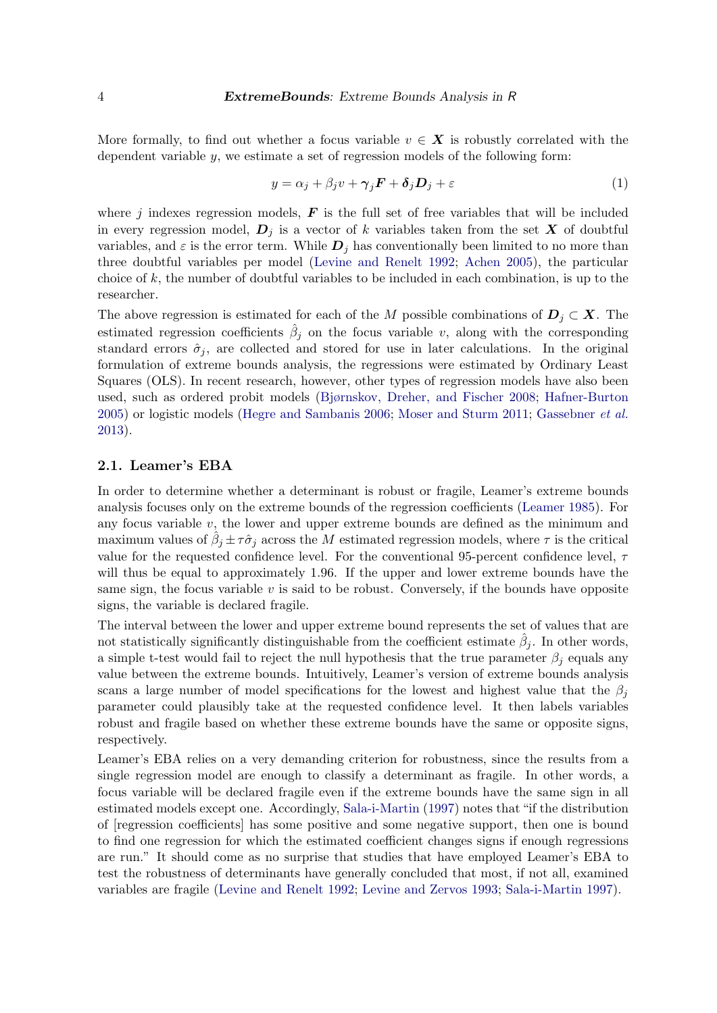More formally, to find out whether a focus variable  $v \in X$  is robustly correlated with the dependent variable  $y$ , we estimate a set of regression models of the following form:

$$
y = \alpha_j + \beta_j v + \gamma_j F + \delta_j D_j + \varepsilon \tag{1}
$$

where j indexes regression models,  $\boldsymbol{F}$  is the full set of free variables that will be included in every regression model,  $D_i$  is a vector of k variables taken from the set X of doubtful variables, and  $\varepsilon$  is the error term. While  $\mathbf{D}_i$  has conventionally been limited to no more than three doubtful variables per model [\(Levine and Renelt](#page-20-1) [1992;](#page-20-1) [Achen](#page-18-4) [2005\)](#page-18-4), the particular choice of  $k$ , the number of doubtful variables to be included in each combination, is up to the researcher.

The above regression is estimated for each of the M possible combinations of  $D_i \subset X$ . The estimated regression coefficients  $\hat{\beta}_j$  on the focus variable v, along with the corresponding standard errors  $\hat{\sigma}_i$ , are collected and stored for use in later calculations. In the original formulation of extreme bounds analysis, the regressions were estimated by Ordinary Least Squares (OLS). In recent research, however, other types of regression models have also been used, such as ordered probit models [\(Bjørnskov, Dreher, and Fischer](#page-19-13) [2008;](#page-19-13) [Hafner-Burton](#page-19-3) [2005\)](#page-19-3) or logistic models [\(Hegre and Sambanis](#page-19-10) [2006;](#page-19-10) [Moser and Sturm](#page-20-3) [2011;](#page-20-3) [Gassebner](#page-19-2) et al. [2013\)](#page-19-2).

# 2.1. Leamer's EBA

In order to determine whether a determinant is robust or fragile, Leamer's extreme bounds analysis focuses only on the extreme bounds of the regression coefficients [\(Leamer](#page-20-0) [1985\)](#page-20-0). For any focus variable  $v$ , the lower and upper extreme bounds are defined as the minimum and maximum values of  $\hat{\beta}_j \pm \tau \hat{\sigma}_j$  across the M estimated regression models, where  $\tau$  is the critical value for the requested confidence level. For the conventional 95-percent confidence level,  $\tau$ will thus be equal to approximately 1.96. If the upper and lower extreme bounds have the same sign, the focus variable  $v$  is said to be robust. Conversely, if the bounds have opposite signs, the variable is declared fragile.

The interval between the lower and upper extreme bound represents the set of values that are not statistically significantly distinguishable from the coefficient estimate  $\hat{\beta}_j$ . In other words, a simple t-test would fail to reject the null hypothesis that the true parameter  $\beta_i$  equals any value between the extreme bounds. Intuitively, Leamer's version of extreme bounds analysis scans a large number of model specifications for the lowest and highest value that the  $\beta_i$ parameter could plausibly take at the requested confidence level. It then labels variables robust and fragile based on whether these extreme bounds have the same or opposite signs, respectively.

Leamer's EBA relies on a very demanding criterion for robustness, since the results from a single regression model are enough to classify a determinant as fragile. In other words, a focus variable will be declared fragile even if the extreme bounds have the same sign in all estimated models except one. Accordingly, [Sala-i-Martin](#page-21-0) [\(1997\)](#page-21-0) notes that "if the distribution of [regression coefficients] has some positive and some negative support, then one is bound to find one regression for which the estimated coefficient changes signs if enough regressions are run." It should come as no surprise that studies that have employed Leamer's EBA to test the robustness of determinants have generally concluded that most, if not all, examined variables are fragile [\(Levine and Renelt](#page-20-1) [1992;](#page-20-1) [Levine and Zervos](#page-20-11) [1993;](#page-20-11) [Sala-i-Martin](#page-21-0) [1997\)](#page-21-0).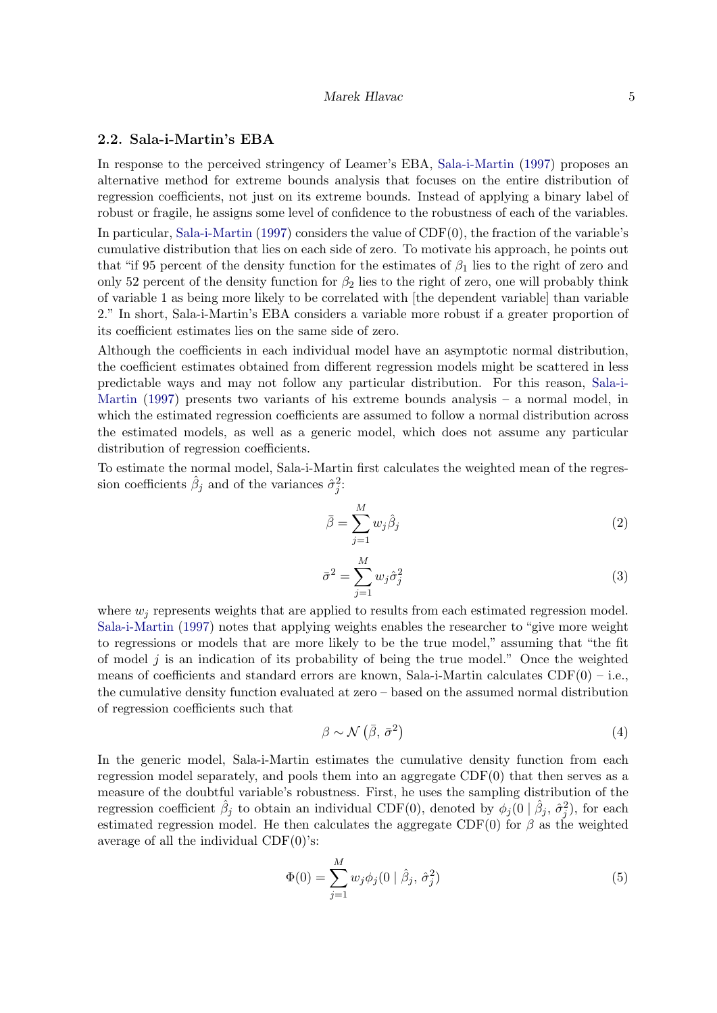### 2.2. Sala-i-Martin's EBA

In response to the perceived stringency of Leamer's EBA, [Sala-i-Martin](#page-21-0) [\(1997\)](#page-21-0) proposes an alternative method for extreme bounds analysis that focuses on the entire distribution of regression coefficients, not just on its extreme bounds. Instead of applying a binary label of robust or fragile, he assigns some level of confidence to the robustness of each of the variables. In particular, [Sala-i-Martin](#page-21-0) [\(1997\)](#page-21-0) considers the value of CDF(0), the fraction of the variable's cumulative distribution that lies on each side of zero. To motivate his approach, he points out that "if 95 percent of the density function for the estimates of  $\beta_1$  lies to the right of zero and only 52 percent of the density function for  $\beta_2$  lies to the right of zero, one will probably think of variable 1 as being more likely to be correlated with [the dependent variable] than variable 2." In short, Sala-i-Martin's EBA considers a variable more robust if a greater proportion of its coefficient estimates lies on the same side of zero.

Although the coefficients in each individual model have an asymptotic normal distribution, the coefficient estimates obtained from different regression models might be scattered in less predictable ways and may not follow any particular distribution. For this reason, [Sala-i-](#page-21-0)[Martin](#page-21-0) [\(1997\)](#page-21-0) presents two variants of his extreme bounds analysis – a normal model, in which the estimated regression coefficients are assumed to follow a normal distribution across the estimated models, as well as a generic model, which does not assume any particular distribution of regression coefficients.

To estimate the normal model, Sala-i-Martin first calculates the weighted mean of the regression coefficients  $\hat{\beta}_j$  and of the variances  $\hat{\sigma}_j^2$ :

$$
\bar{\beta} = \sum_{j=1}^{M} w_j \hat{\beta}_j \tag{2}
$$

$$
\bar{\sigma}^2 = \sum_{j=1}^{M} w_j \hat{\sigma}_j^2 \tag{3}
$$

where  $w_i$  represents weights that are applied to results from each estimated regression model. [Sala-i-Martin](#page-21-0) [\(1997\)](#page-21-0) notes that applying weights enables the researcher to "give more weight to regressions or models that are more likely to be the true model," assuming that "the fit of model  $j$  is an indication of its probability of being the true model." Once the weighted means of coefficients and standard errors are known, Sala-i-Martin calculates  $CDF(0) - i.e.,$ the cumulative density function evaluated at zero – based on the assumed normal distribution of regression coefficients such that

$$
\beta \sim \mathcal{N}\left(\bar{\beta}, \bar{\sigma}^2\right) \tag{4}
$$

In the generic model, Sala-i-Martin estimates the cumulative density function from each regression model separately, and pools them into an aggregate  $CDF(0)$  that then serves as a measure of the doubtful variable's robustness. First, he uses the sampling distribution of the regression coefficient  $\hat{\beta}_j$  to obtain an individual CDF(0), denoted by  $\phi_j(0 | \hat{\beta}_j, \hat{\sigma}_j^2)$ , for each estimated regression model. He then calculates the aggregate CDF(0) for  $\beta$  as the weighted average of all the individual  $CDF(0)$ 's:

$$
\Phi(0) = \sum_{j=1}^{M} w_j \phi_j(0 \mid \hat{\beta}_j, \hat{\sigma}_j^2)
$$
\n(5)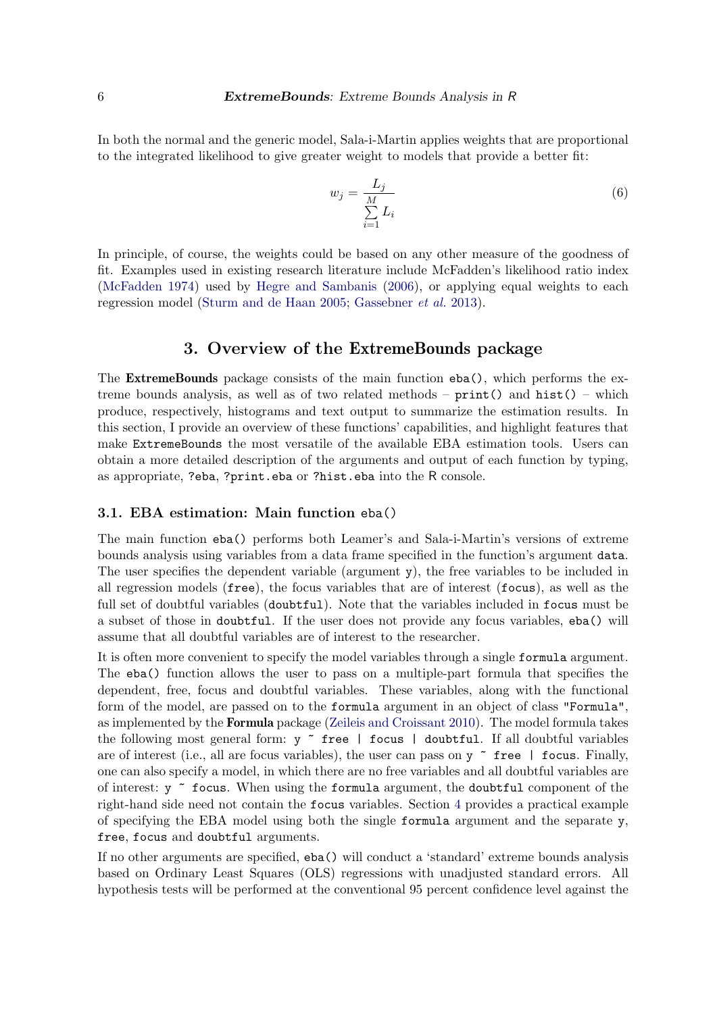In both the normal and the generic model, Sala-i-Martin applies weights that are proportional to the integrated likelihood to give greater weight to models that provide a better fit:

$$
w_j = \frac{L_j}{\sum_{i=1}^{M} L_i} \tag{6}
$$

In principle, of course, the weights could be based on any other measure of the goodness of fit. Examples used in existing research literature include McFadden's likelihood ratio index [\(McFadden](#page-20-12) [1974\)](#page-20-12) used by [Hegre and Sambanis](#page-19-10) [\(2006\)](#page-19-10), or applying equal weights to each regression model [\(Sturm and de Haan](#page-21-2) [2005;](#page-21-2) [Gassebner](#page-19-2) et al. [2013\)](#page-19-2).

# 3. Overview of the ExtremeBounds package

<span id="page-5-0"></span>The ExtremeBounds package consists of the main function eba(), which performs the extreme bounds analysis, as well as of two related methods –  $print()$  and  $hist()$  – which produce, respectively, histograms and text output to summarize the estimation results. In this section, I provide an overview of these functions' capabilities, and highlight features that make ExtremeBounds the most versatile of the available EBA estimation tools. Users can obtain a more detailed description of the arguments and output of each function by typing, as appropriate, ?eba, ?print.eba or ?hist.eba into the R console.

### 3.1. EBA estimation: Main function eba()

The main function eba() performs both Leamer's and Sala-i-Martin's versions of extreme bounds analysis using variables from a data frame specified in the function's argument data. The user specifies the dependent variable (argument y), the free variables to be included in all regression models (free), the focus variables that are of interest (focus), as well as the full set of doubtful variables (doubtful). Note that the variables included in focus must be a subset of those in doubtful. If the user does not provide any focus variables, eba() will assume that all doubtful variables are of interest to the researcher.

It is often more convenient to specify the model variables through a single formula argument. The eba() function allows the user to pass on a multiple-part formula that specifies the dependent, free, focus and doubtful variables. These variables, along with the functional form of the model, are passed on to the formula argument in an object of class "Formula", as implemented by the Formula package [\(Zeileis and Croissant](#page-21-8) [2010\)](#page-21-8). The model formula takes the following most general form:  $y \tilde{ }$  free | focus | doubtful. If all doubtful variables are of interest (i.e., all are focus variables), the user can pass on y  $\tilde{ }$  free | focus. Finally, one can also specify a model, in which there are no free variables and all doubtful variables are of interest:  $y \tilde{\ }$  focus. When using the formula argument, the doubtful component of the right-hand side need not contain the focus variables. Section [4](#page-9-0) provides a practical example of specifying the EBA model using both the single formula argument and the separate y, free, focus and doubtful arguments.

If no other arguments are specified, eba() will conduct a 'standard' extreme bounds analysis based on Ordinary Least Squares (OLS) regressions with unadjusted standard errors. All hypothesis tests will be performed at the conventional 95 percent confidence level against the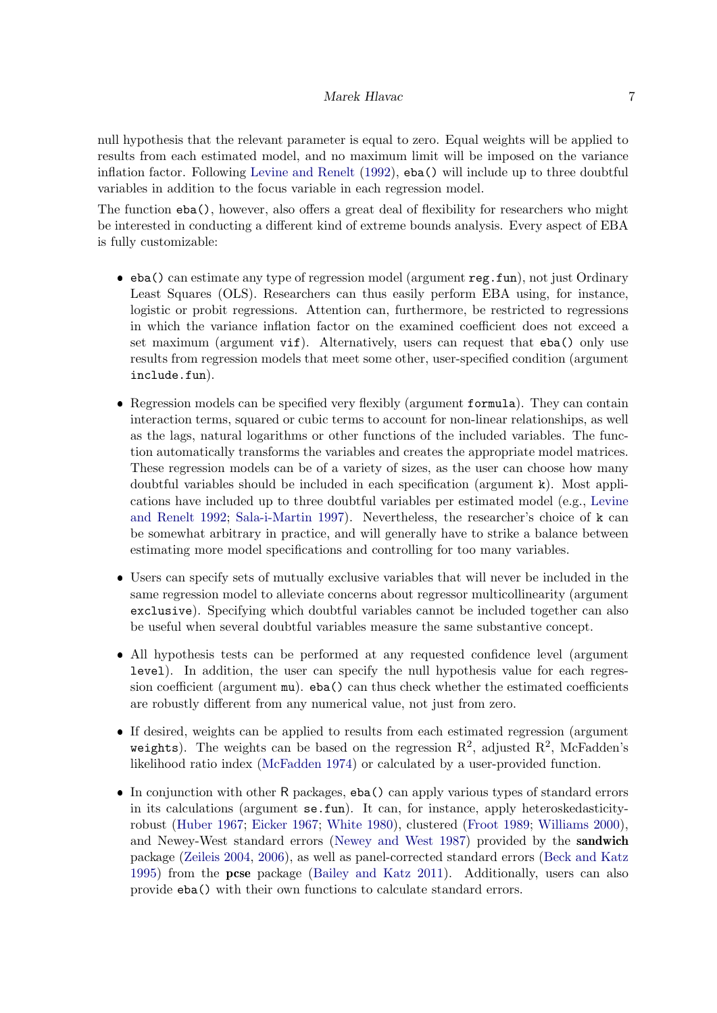null hypothesis that the relevant parameter is equal to zero. Equal weights will be applied to results from each estimated model, and no maximum limit will be imposed on the variance inflation factor. Following [Levine and Renelt](#page-20-1) [\(1992\)](#page-20-1), eba() will include up to three doubtful variables in addition to the focus variable in each regression model.

The function eba(), however, also offers a great deal of flexibility for researchers who might be interested in conducting a different kind of extreme bounds analysis. Every aspect of EBA is fully customizable:

- eba() can estimate any type of regression model (argument reg.fun), not just Ordinary Least Squares (OLS). Researchers can thus easily perform EBA using, for instance, logistic or probit regressions. Attention can, furthermore, be restricted to regressions in which the variance inflation factor on the examined coefficient does not exceed a set maximum (argument vif). Alternatively, users can request that eba() only use results from regression models that meet some other, user-specified condition (argument include.fun).
- Regression models can be specified very flexibly (argument formula). They can contain interaction terms, squared or cubic terms to account for non-linear relationships, as well as the lags, natural logarithms or other functions of the included variables. The function automatically transforms the variables and creates the appropriate model matrices. These regression models can be of a variety of sizes, as the user can choose how many doubtful variables should be included in each specification (argument k). Most applications have included up to three doubtful variables per estimated model (e.g., [Levine](#page-20-1) [and Renelt](#page-20-1) [1992;](#page-20-1) [Sala-i-Martin](#page-21-0) [1997\)](#page-21-0). Nevertheless, the researcher's choice of k can be somewhat arbitrary in practice, and will generally have to strike a balance between estimating more model specifications and controlling for too many variables.
- Users can specify sets of mutually exclusive variables that will never be included in the same regression model to alleviate concerns about regressor multicollinearity (argument exclusive). Specifying which doubtful variables cannot be included together can also be useful when several doubtful variables measure the same substantive concept.
- All hypothesis tests can be performed at any requested confidence level (argument level). In addition, the user can specify the null hypothesis value for each regression coefficient (argument mu). eba() can thus check whether the estimated coefficients are robustly different from any numerical value, not just from zero.
- If desired, weights can be applied to results from each estimated regression (argument weights). The weights can be based on the regression  $\mathbb{R}^2$ , adjusted  $\mathbb{R}^2$ , McFadden's likelihood ratio index [\(McFadden](#page-20-12) [1974\)](#page-20-12) or calculated by a user-provided function.
- In conjunction with other R packages, eba() can apply various types of standard errors in its calculations (argument se.fun). It can, for instance, apply heteroskedasticityrobust [\(Huber](#page-20-13) [1967;](#page-20-13) [Eicker](#page-19-14) [1967;](#page-19-14) [White](#page-21-9) [1980\)](#page-21-9), clustered [\(Froot](#page-19-15) [1989;](#page-19-15) [Williams](#page-21-10) [2000\)](#page-21-10), and Newey-West standard errors [\(Newey and West](#page-20-14) [1987\)](#page-20-14) provided by the sandwich package [\(Zeileis](#page-21-11) [2004,](#page-21-11) [2006\)](#page-21-12), as well as panel-corrected standard errors [\(Beck and Katz](#page-19-16) [1995\)](#page-19-16) from the pcse package [\(Bailey and Katz](#page-18-5) [2011\)](#page-18-5). Additionally, users can also provide eba() with their own functions to calculate standard errors.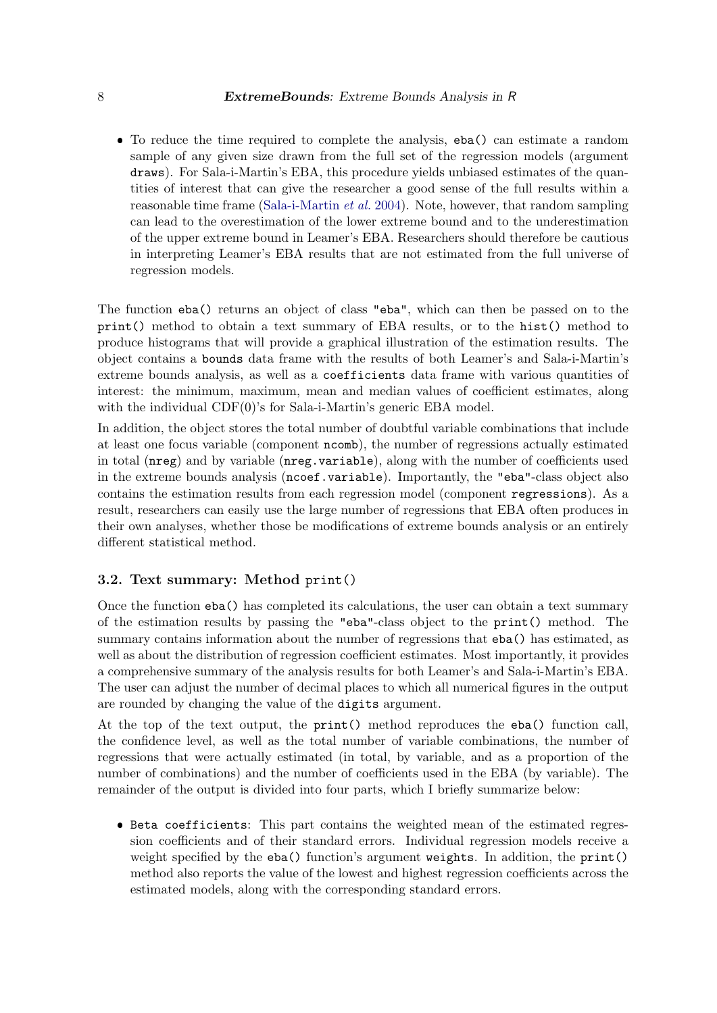To reduce the time required to complete the analysis, eba() can estimate a random sample of any given size drawn from the full set of the regression models (argument draws). For Sala-i-Martin's EBA, this procedure yields unbiased estimates of the quantities of interest that can give the researcher a good sense of the full results within a reasonable time frame [\(Sala-i-Martin](#page-21-1) et al. [2004\)](#page-21-1). Note, however, that random sampling can lead to the overestimation of the lower extreme bound and to the underestimation of the upper extreme bound in Leamer's EBA. Researchers should therefore be cautious in interpreting Leamer's EBA results that are not estimated from the full universe of regression models.

The function eba() returns an object of class "eba", which can then be passed on to the print() method to obtain a text summary of EBA results, or to the hist() method to produce histograms that will provide a graphical illustration of the estimation results. The object contains a bounds data frame with the results of both Leamer's and Sala-i-Martin's extreme bounds analysis, as well as a coefficients data frame with various quantities of interest: the minimum, maximum, mean and median values of coefficient estimates, along with the individual CDF(0)'s for Sala-i-Martin's generic EBA model.

In addition, the object stores the total number of doubtful variable combinations that include at least one focus variable (component ncomb), the number of regressions actually estimated in total (nreg) and by variable (nreg.variable), along with the number of coefficients used in the extreme bounds analysis (ncoef.variable). Importantly, the "eba"-class object also contains the estimation results from each regression model (component regressions). As a result, researchers can easily use the large number of regressions that EBA often produces in their own analyses, whether those be modifications of extreme bounds analysis or an entirely different statistical method.

# 3.2. Text summary: Method print()

Once the function eba() has completed its calculations, the user can obtain a text summary of the estimation results by passing the "eba"-class object to the print() method. The summary contains information about the number of regressions that eba() has estimated, as well as about the distribution of regression coefficient estimates. Most importantly, it provides a comprehensive summary of the analysis results for both Leamer's and Sala-i-Martin's EBA. The user can adjust the number of decimal places to which all numerical figures in the output are rounded by changing the value of the digits argument.

At the top of the text output, the print() method reproduces the eba() function call, the confidence level, as well as the total number of variable combinations, the number of regressions that were actually estimated (in total, by variable, and as a proportion of the number of combinations) and the number of coefficients used in the EBA (by variable). The remainder of the output is divided into four parts, which I briefly summarize below:

 Beta coefficients: This part contains the weighted mean of the estimated regression coefficients and of their standard errors. Individual regression models receive a weight specified by the eba() function's argument weights. In addition, the print() method also reports the value of the lowest and highest regression coefficients across the estimated models, along with the corresponding standard errors.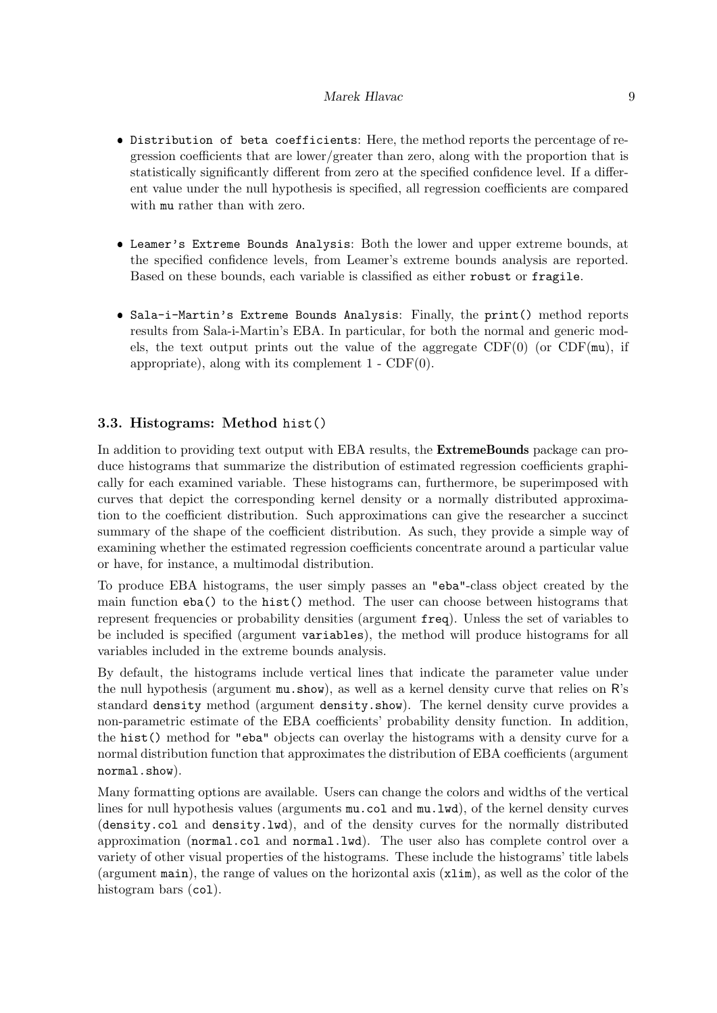- Distribution of beta coefficients: Here, the method reports the percentage of regression coefficients that are lower/greater than zero, along with the proportion that is statistically significantly different from zero at the specified confidence level. If a different value under the null hypothesis is specified, all regression coefficients are compared with mu rather than with zero.
- Leamer's Extreme Bounds Analysis: Both the lower and upper extreme bounds, at the specified confidence levels, from Leamer's extreme bounds analysis are reported. Based on these bounds, each variable is classified as either robust or fragile.
- Sala-i-Martin's Extreme Bounds Analysis: Finally, the print() method reports results from Sala-i-Martin's EBA. In particular, for both the normal and generic models, the text output prints out the value of the aggregate  $CDF(0)$  (or  $CDF(mu)$ , if appropriate), along with its complement  $1 - CDF(0)$ .

### 3.3. Histograms: Method hist()

In addition to providing text output with EBA results, the **ExtremeBounds** package can produce histograms that summarize the distribution of estimated regression coefficients graphically for each examined variable. These histograms can, furthermore, be superimposed with curves that depict the corresponding kernel density or a normally distributed approximation to the coefficient distribution. Such approximations can give the researcher a succinct summary of the shape of the coefficient distribution. As such, they provide a simple way of examining whether the estimated regression coefficients concentrate around a particular value or have, for instance, a multimodal distribution.

To produce EBA histograms, the user simply passes an "eba"-class object created by the main function eba() to the hist() method. The user can choose between histograms that represent frequencies or probability densities (argument freq). Unless the set of variables to be included is specified (argument variables), the method will produce histograms for all variables included in the extreme bounds analysis.

By default, the histograms include vertical lines that indicate the parameter value under the null hypothesis (argument mu.show), as well as a kernel density curve that relies on R's standard density method (argument density.show). The kernel density curve provides a non-parametric estimate of the EBA coefficients' probability density function. In addition, the hist() method for "eba" objects can overlay the histograms with a density curve for a normal distribution function that approximates the distribution of EBA coefficients (argument normal.show).

Many formatting options are available. Users can change the colors and widths of the vertical lines for null hypothesis values (arguments mu.col and mu.lwd), of the kernel density curves (density.col and density.lwd), and of the density curves for the normally distributed approximation (normal.col and normal.lwd). The user also has complete control over a variety of other visual properties of the histograms. These include the histograms' title labels (argument main), the range of values on the horizontal axis (xlim), as well as the color of the histogram bars (co1).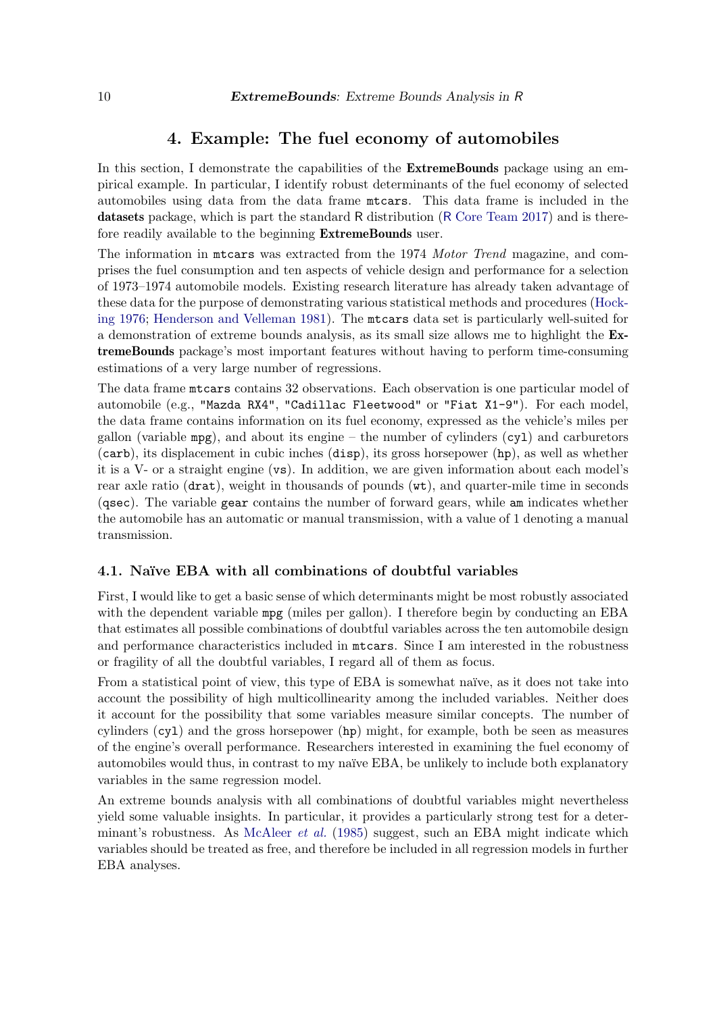# 4. Example: The fuel economy of automobiles

<span id="page-9-0"></span>In this section, I demonstrate the capabilities of the **ExtremeBounds** package using an empirical example. In particular, I identify robust determinants of the fuel economy of selected automobiles using data from the data frame mtcars. This data frame is included in the datasets package, which is part the standard R distribution (R [Core Team](#page-20-6) [2017\)](#page-20-6) and is therefore readily available to the beginning ExtremeBounds user.

The information in mtcars was extracted from the 1974 Motor Trend magazine, and comprises the fuel consumption and ten aspects of vehicle design and performance for a selection of 1973–1974 automobile models. Existing research literature has already taken advantage of these data for the purpose of demonstrating various statistical methods and procedures [\(Hock](#page-20-15)[ing](#page-20-15) [1976;](#page-20-15) [Henderson and Velleman](#page-20-16) [1981\)](#page-20-16). The mtcars data set is particularly well-suited for a demonstration of extreme bounds analysis, as its small size allows me to highlight the ExtremeBounds package's most important features without having to perform time-consuming estimations of a very large number of regressions.

The data frame mtcars contains 32 observations. Each observation is one particular model of automobile (e.g., "Mazda RX4", "Cadillac Fleetwood" or "Fiat X1-9"). For each model, the data frame contains information on its fuel economy, expressed as the vehicle's miles per gallon (variable  $mpg$ ), and about its engine – the number of cylinders (cy1) and carburetors (carb), its displacement in cubic inches (disp), its gross horsepower (hp), as well as whether it is a V- or a straight engine (vs). In addition, we are given information about each model's rear axle ratio (drat), weight in thousands of pounds (wt), and quarter-mile time in seconds (qsec). The variable gear contains the number of forward gears, while am indicates whether the automobile has an automatic or manual transmission, with a value of 1 denoting a manual transmission.

### 4.1. Naïve EBA with all combinations of doubtful variables

First, I would like to get a basic sense of which determinants might be most robustly associated with the dependent variable mpg (miles per gallon). I therefore begin by conducting an EBA that estimates all possible combinations of doubtful variables across the ten automobile design and performance characteristics included in mtcars. Since I am interested in the robustness or fragility of all the doubtful variables, I regard all of them as focus.

From a statistical point of view, this type of EBA is somewhat naïve, as it does not take into account the possibility of high multicollinearity among the included variables. Neither does it account for the possibility that some variables measure similar concepts. The number of cylinders  $(cy1)$  and the gross horsepower  $(hp)$  might, for example, both be seen as measures of the engine's overall performance. Researchers interested in examining the fuel economy of automobiles would thus, in contrast to my naïve EBA, be unlikely to include both explanatory variables in the same regression model.

An extreme bounds analysis with all combinations of doubtful variables might nevertheless yield some valuable insights. In particular, it provides a particularly strong test for a deter-minant's robustness. As [McAleer](#page-20-9) *et al.* [\(1985\)](#page-20-9) suggest, such an EBA might indicate which variables should be treated as free, and therefore be included in all regression models in further EBA analyses.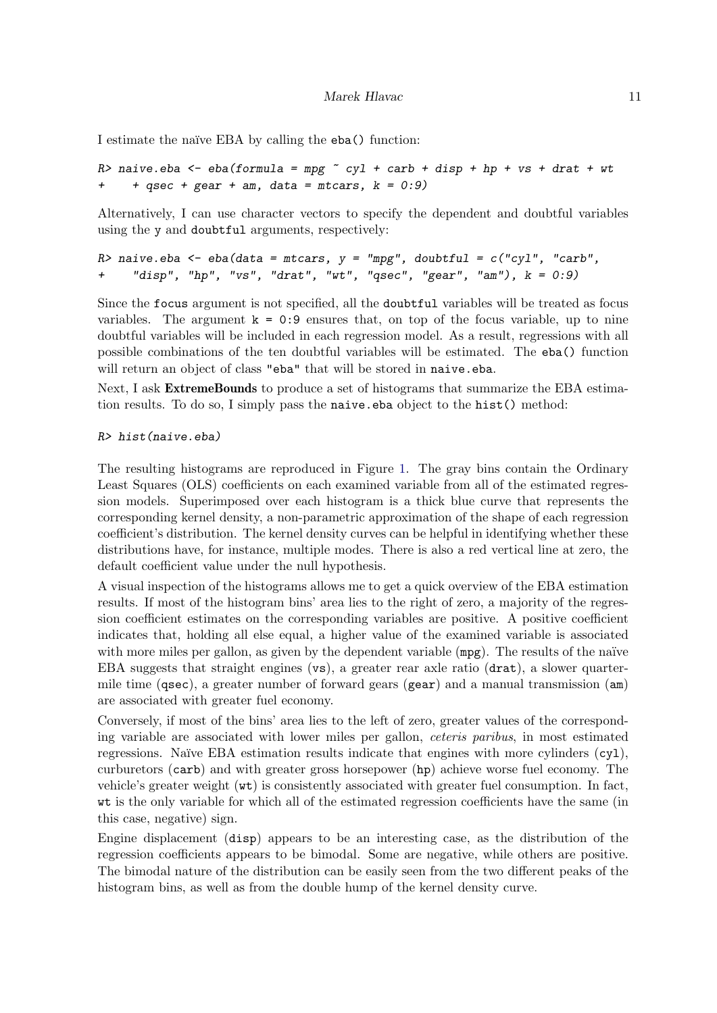I estimate the naïve EBA by calling the eba() function:

R> naive.eba <- eba(formula = mpg  $\tilde{c}$  cyl + carb + disp + hp + vs + drat + wt +  $qsec + gear + am$ , data = mtcars,  $k = 0:9$ )

Alternatively, I can use character vectors to specify the dependent and doubtful variables using the y and doubtful arguments, respectively:

```
R> naive.eba \leq eba(data = mtcars, y = "mpq", doubtful = c("cyl", "carb",+ "disp", "hp", "vs", "drat", "wt", "qsec", "gear", "am"), k = 0:9)
```
Since the focus argument is not specified, all the doubtful variables will be treated as focus variables. The argument  $k = 0.9$  ensures that, on top of the focus variable, up to nine doubtful variables will be included in each regression model. As a result, regressions with all possible combinations of the ten doubtful variables will be estimated. The eba() function will return an object of class "eba" that will be stored in naive.eba.

Next, I ask **ExtremeBounds** to produce a set of histograms that summarize the EBA estimation results. To do so, I simply pass the naive.eba object to the hist() method:

#### R> hist(naive.eba)

The resulting histograms are reproduced in Figure [1.](#page-11-0) The gray bins contain the Ordinary Least Squares (OLS) coefficients on each examined variable from all of the estimated regression models. Superimposed over each histogram is a thick blue curve that represents the corresponding kernel density, a non-parametric approximation of the shape of each regression coefficient's distribution. The kernel density curves can be helpful in identifying whether these distributions have, for instance, multiple modes. There is also a red vertical line at zero, the default coefficient value under the null hypothesis.

A visual inspection of the histograms allows me to get a quick overview of the EBA estimation results. If most of the histogram bins' area lies to the right of zero, a majority of the regression coefficient estimates on the corresponding variables are positive. A positive coefficient indicates that, holding all else equal, a higher value of the examined variable is associated with more miles per gallon, as given by the dependent variable  $(mpg)$ . The results of the naïve EBA suggests that straight engines (vs), a greater rear axle ratio (drat), a slower quartermile time (qsec), a greater number of forward gears (gear) and a manual transmission (am) are associated with greater fuel economy.

Conversely, if most of the bins' area lies to the left of zero, greater values of the corresponding variable are associated with lower miles per gallon, ceteris paribus, in most estimated regressions. Naïve EBA estimation results indicate that engines with more cylinders  $(cyl)$ , curburetors (carb) and with greater gross horsepower (hp) achieve worse fuel economy. The vehicle's greater weight (wt) is consistently associated with greater fuel consumption. In fact, wt is the only variable for which all of the estimated regression coefficients have the same (in this case, negative) sign.

Engine displacement (disp) appears to be an interesting case, as the distribution of the regression coefficients appears to be bimodal. Some are negative, while others are positive. The bimodal nature of the distribution can be easily seen from the two different peaks of the histogram bins, as well as from the double hump of the kernel density curve.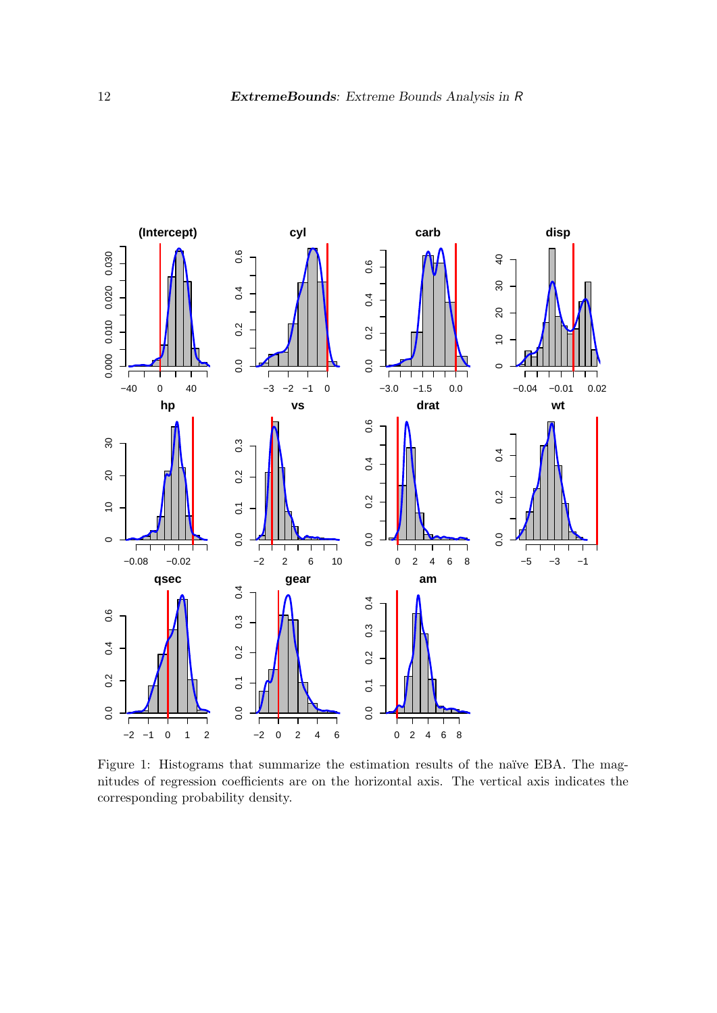

<span id="page-11-0"></span>Figure 1: Histograms that summarize the estimation results of the naïve EBA. The magnitudes of regression coefficients are on the horizontal axis. The vertical axis indicates the corresponding probability density.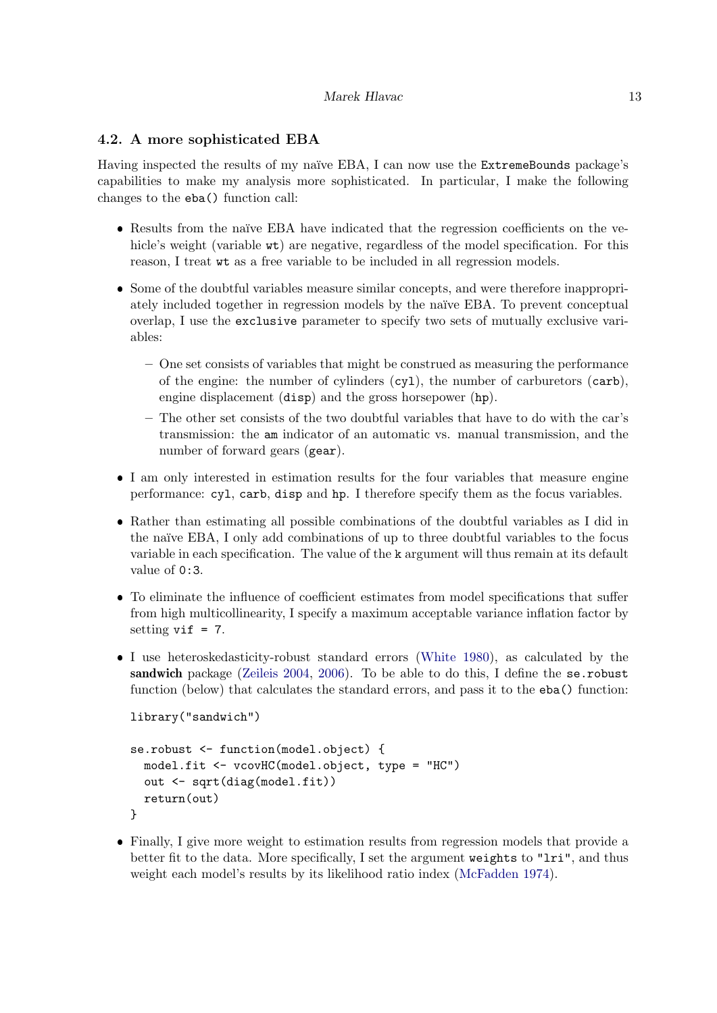# 4.2. A more sophisticated EBA

Having inspected the results of my naïve EBA, I can now use the ExtremeBounds package's capabilities to make my analysis more sophisticated. In particular, I make the following changes to the eba() function call:

- Results from the naïve EBA have indicated that the regression coefficients on the vehicle's weight (variable  $\kappa t$ ) are negative, regardless of the model specification. For this reason, I treat wt as a free variable to be included in all regression models.
- Some of the doubtful variables measure similar concepts, and were therefore inappropriately included together in regression models by the naïve EBA. To prevent conceptual overlap, I use the exclusive parameter to specify two sets of mutually exclusive variables:
	- One set consists of variables that might be construed as measuring the performance of the engine: the number of cylinders (cyl), the number of carburetors (carb), engine displacement (disp) and the gross horsepower (hp).
	- The other set consists of the two doubtful variables that have to do with the car's transmission: the am indicator of an automatic vs. manual transmission, and the number of forward gears (gear).
- I am only interested in estimation results for the four variables that measure engine performance: cyl, carb, disp and hp. I therefore specify them as the focus variables.
- Rather than estimating all possible combinations of the doubtful variables as I did in the naïve EBA, I only add combinations of up to three doubtful variables to the focus variable in each specification. The value of the k argument will thus remain at its default value of 0:3.
- To eliminate the influence of coefficient estimates from model specifications that suffer from high multicollinearity, I specify a maximum acceptable variance inflation factor by setting  $v$ if = 7.
- I use heteroskedasticity-robust standard errors [\(White](#page-21-9) [1980\)](#page-21-9), as calculated by the sandwich package [\(Zeileis](#page-21-11) [2004,](#page-21-11) [2006\)](#page-21-12). To be able to do this, I define the se.robust function (below) that calculates the standard errors, and pass it to the eba() function:

```
library("sandwich")
```

```
se.robust <- function(model.object) {
  model.fit <- vcovHC(model.object, type = "HC")
  out <- sqrt(diag(model.fit))
  return(out)
}
```
 Finally, I give more weight to estimation results from regression models that provide a better fit to the data. More specifically, I set the argument weights to "lri", and thus weight each model's results by its likelihood ratio index [\(McFadden](#page-20-12) [1974\)](#page-20-12).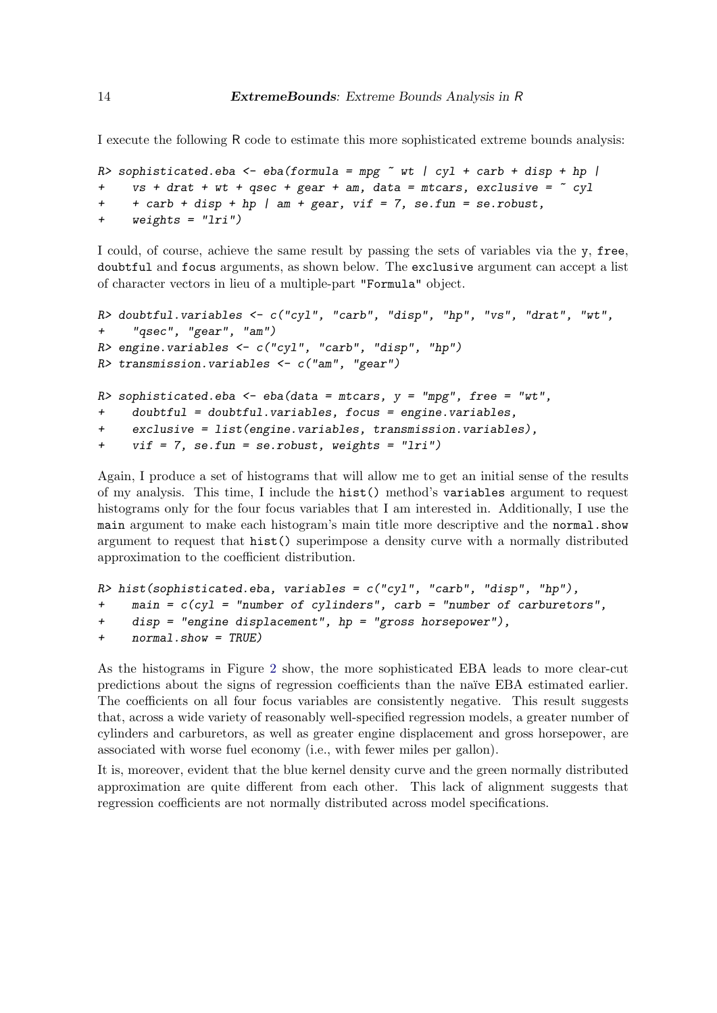I execute the following R code to estimate this more sophisticated extreme bounds analysis:

```
R> sophisticated.eba <- eba(formula = mpg \tilde{ } wt | cyl + carb + disp + hp |
+ vs + drat + wt + qsec + gear + am, data = mtcars, exclusive = \degree cyl
+ + carb + disp + hp | am + gear, vif = 7, se.fun = se.robust,
+ weights = "lri")
```
I could, of course, achieve the same result by passing the sets of variables via the y, free, doubtful and focus arguments, as shown below. The exclusive argument can accept a list of character vectors in lieu of a multiple-part "Formula" object.

```
R> doubtful.variables <- c("cyl", "carb", "disp", "hp", "vs", "drat", "wt",
+ "qsec", "gear", "am")
R> engine.variables <- c("cyl", "carb", "disp", "hp")
R> transmission.variables \leq c("am", "gear")
R> sophisticated.eba <- eba(data = mtcars, y = "mpg", free = "wt",
+ doubtful = doubtful.variables, focus = engine.variables,
+ exclusive = list(engine.variables, transmission.variables),
+ vif = 7, se.fun = se.robust, weights = "lri")
```
Again, I produce a set of histograms that will allow me to get an initial sense of the results of my analysis. This time, I include the hist() method's variables argument to request histograms only for the four focus variables that I am interested in. Additionally, I use the main argument to make each histogram's main title more descriptive and the normal.show argument to request that hist() superimpose a density curve with a normally distributed approximation to the coefficient distribution.

```
R> hist(sophisticated.eba, variables = c("cyl", "carb", "disp", "hp"),+ main = c(cyl = "number of cylinders", carb = "number of carburetors",
+ disp = "engine displacement", hp = "gross horsepower"),
+ normal.show = TRUE)
```
As the histograms in Figure [2](#page-14-0) show, the more sophisticated EBA leads to more clear-cut predictions about the signs of regression coefficients than the na¨ıve EBA estimated earlier. The coefficients on all four focus variables are consistently negative. This result suggests that, across a wide variety of reasonably well-specified regression models, a greater number of cylinders and carburetors, as well as greater engine displacement and gross horsepower, are associated with worse fuel economy (i.e., with fewer miles per gallon).

It is, moreover, evident that the blue kernel density curve and the green normally distributed approximation are quite different from each other. This lack of alignment suggests that regression coefficients are not normally distributed across model specifications.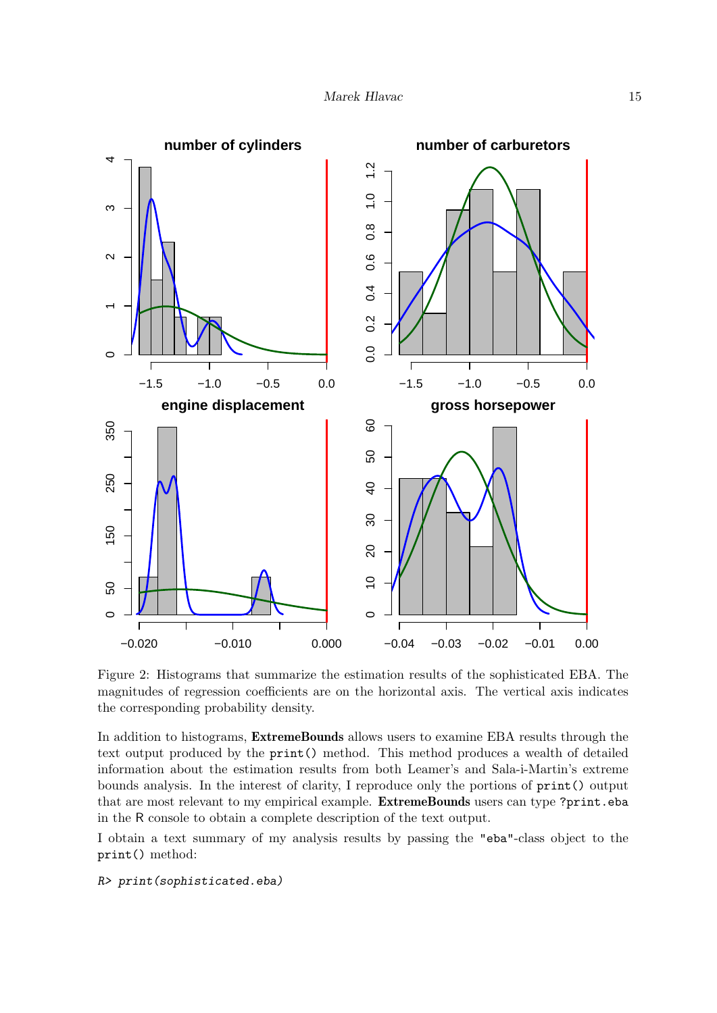

<span id="page-14-0"></span>Figure 2: Histograms that summarize the estimation results of the sophisticated EBA. The magnitudes of regression coefficients are on the horizontal axis. The vertical axis indicates the corresponding probability density.

In addition to histograms, **ExtremeBounds** allows users to examine EBA results through the text output produced by the print() method. This method produces a wealth of detailed information about the estimation results from both Leamer's and Sala-i-Martin's extreme bounds analysis. In the interest of clarity, I reproduce only the portions of print() output that are most relevant to my empirical example. ExtremeBounds users can type ?print.eba in the R console to obtain a complete description of the text output.

I obtain a text summary of my analysis results by passing the "eba"-class object to the print() method:

R> print(sophisticated.eba)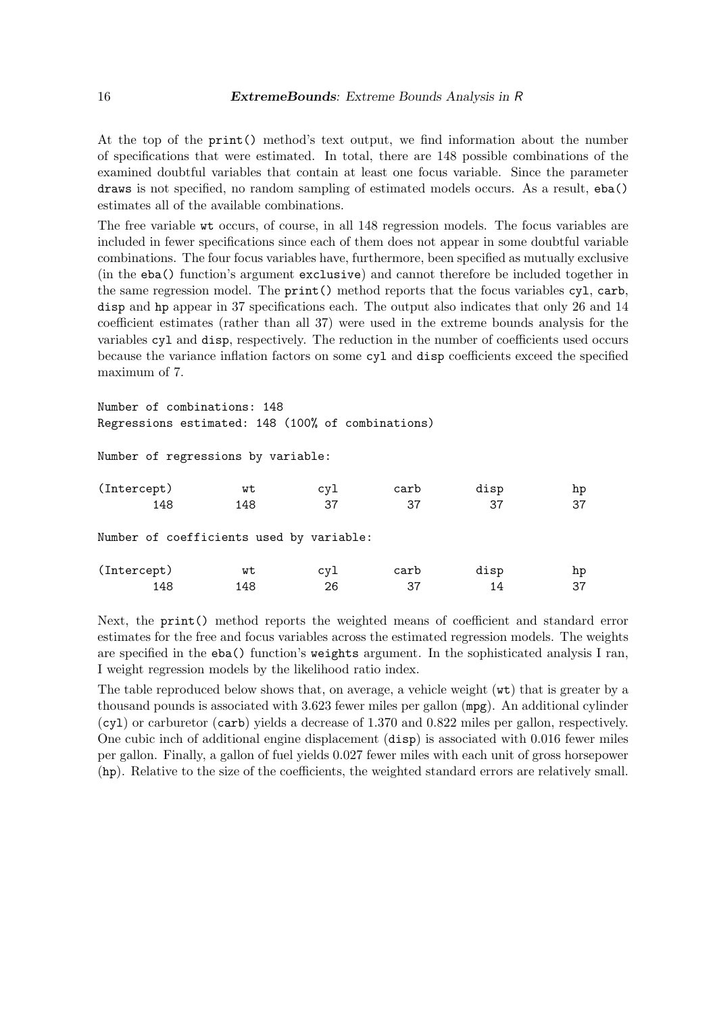At the top of the print() method's text output, we find information about the number of specifications that were estimated. In total, there are 148 possible combinations of the examined doubtful variables that contain at least one focus variable. Since the parameter draws is not specified, no random sampling of estimated models occurs. As a result, eba() estimates all of the available combinations.

The free variable wt occurs, of course, in all 148 regression models. The focus variables are included in fewer specifications since each of them does not appear in some doubtful variable combinations. The four focus variables have, furthermore, been specified as mutually exclusive (in the eba() function's argument exclusive) and cannot therefore be included together in the same regression model. The print() method reports that the focus variables cyl, carb, disp and hp appear in 37 specifications each. The output also indicates that only 26 and 14 coefficient estimates (rather than all 37) were used in the extreme bounds analysis for the variables cyl and disp, respectively. The reduction in the number of coefficients used occurs because the variance inflation factors on some cyl and disp coefficients exceed the specified maximum of 7.

Number of combinations: 148 Regressions estimated: 148 (100% of combinations)

Number of regressions by variable:

| (Intercept)                              | wt  | cyl | carb | disp | hp |
|------------------------------------------|-----|-----|------|------|----|
| 148                                      | 148 | 37  | 37   | 37   | 37 |
| Number of coefficients used by variable: |     |     |      |      |    |
| (Intercept)                              | wt  | cyl | carb | disp | hp |
| 148                                      | 148 | 26  | 37   | 14   | 37 |

Next, the print() method reports the weighted means of coefficient and standard error estimates for the free and focus variables across the estimated regression models. The weights are specified in the eba() function's weights argument. In the sophisticated analysis I ran, I weight regression models by the likelihood ratio index.

The table reproduced below shows that, on average, a vehicle weight (wt) that is greater by a thousand pounds is associated with 3.623 fewer miles per gallon (mpg). An additional cylinder (cyl) or carburetor (carb) yields a decrease of 1.370 and 0.822 miles per gallon, respectively. One cubic inch of additional engine displacement (disp) is associated with 0.016 fewer miles per gallon. Finally, a gallon of fuel yields 0.027 fewer miles with each unit of gross horsepower (hp). Relative to the size of the coefficients, the weighted standard errors are relatively small.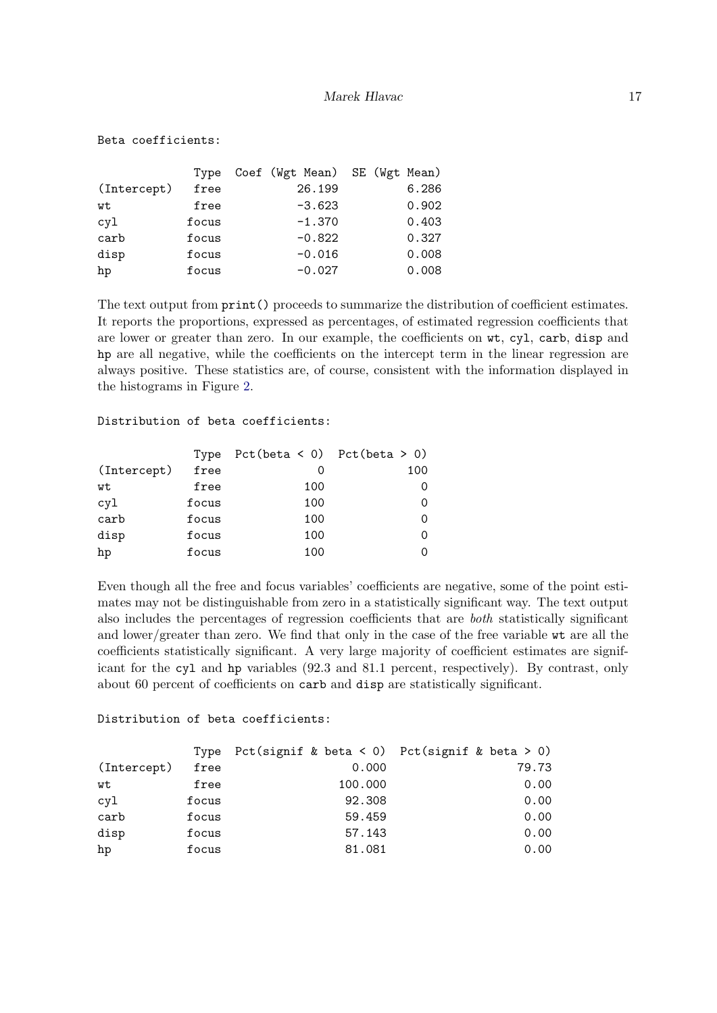|             | Type  | Coef (Wgt Mean) SE (Wgt Mean) |  |       |
|-------------|-------|-------------------------------|--|-------|
| (Intercept) | free  | 26.199                        |  | 6.286 |
| wt          | free  | $-3.623$                      |  | 0.902 |
| cy1         | focus | $-1.370$                      |  | 0.403 |
| carb        | focus | $-0.822$                      |  | 0.327 |
| disp        | focus | $-0.016$                      |  | 0.008 |
| hp          | focus | $-0.027$                      |  | 0.008 |

The text output from print() proceeds to summarize the distribution of coefficient estimates. It reports the proportions, expressed as percentages, of estimated regression coefficients that are lower or greater than zero. In our example, the coefficients on wt, cyl, carb, disp and hp are all negative, while the coefficients on the intercept term in the linear regression are always positive. These statistics are, of course, consistent with the information displayed in the histograms in Figure [2.](#page-14-0)

#### Distribution of beta coefficients:

Beta coefficients:

|             | Type  | $Pct(beta < 0)$ $Pct(beta > 0)$ |     |
|-------------|-------|---------------------------------|-----|
| (Intercept) | free  |                                 | 100 |
| wt          | free  | 100                             |     |
| cy1         | focus | 100                             |     |
| carb        | focus | 100                             |     |
| disp        | focus | 100                             |     |
| hp          | focus | 100                             |     |

Even though all the free and focus variables' coefficients are negative, some of the point estimates may not be distinguishable from zero in a statistically significant way. The text output also includes the percentages of regression coefficients that are both statistically significant and lower/greater than zero. We find that only in the case of the free variable wt are all the coefficients statistically significant. A very large majority of coefficient estimates are significant for the cyl and hp variables (92.3 and 81.1 percent, respectively). By contrast, only about 60 percent of coefficients on carb and disp are statistically significant.

#### Distribution of beta coefficients:

|             | Type  | Pct(signif & beta < 0) Pct(signif & beta > 0) |       |
|-------------|-------|-----------------------------------------------|-------|
| (Intercept) | free  | 0.000                                         | 79.73 |
| wt          | free  | 100.000                                       | 0.00  |
| cyl         | focus | 92.308                                        | 0.00  |
| carb        | focus | 59.459                                        | 0.00  |
| disp        | focus | 57.143                                        | 0.00  |
| hp          | focus | 81.081                                        | 0.00  |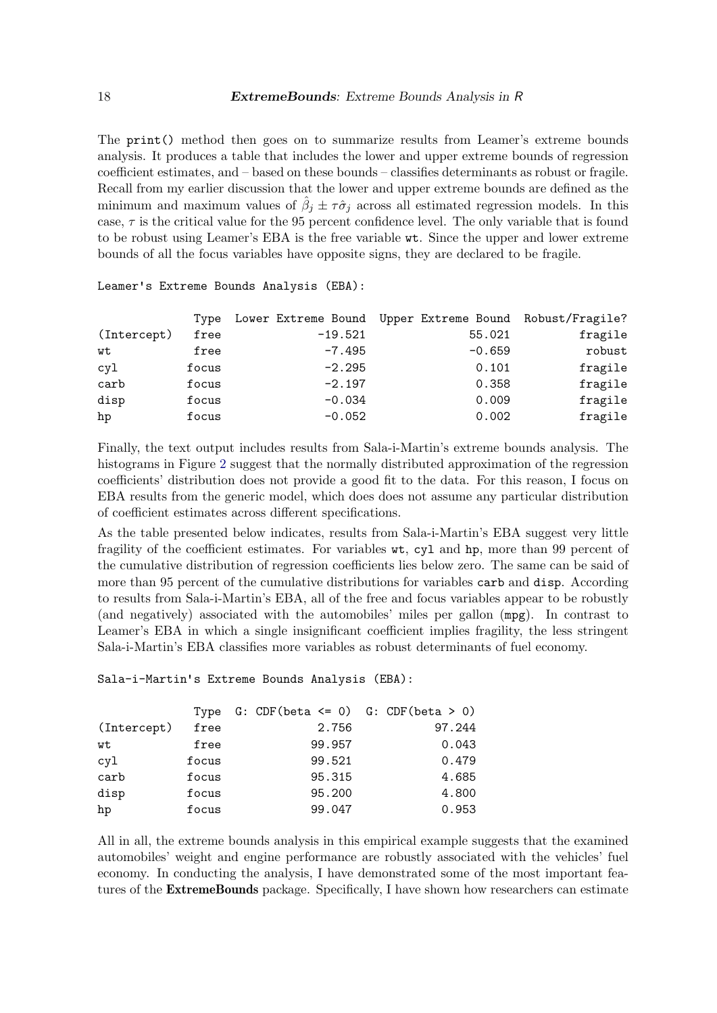The print() method then goes on to summarize results from Leamer's extreme bounds analysis. It produces a table that includes the lower and upper extreme bounds of regression coefficient estimates, and – based on these bounds – classifies determinants as robust or fragile. Recall from my earlier discussion that the lower and upper extreme bounds are defined as the minimum and maximum values of  $\hat{\beta}_j \pm \tau \hat{\sigma}_j$  across all estimated regression models. In this case,  $\tau$  is the critical value for the 95 percent confidence level. The only variable that is found to be robust using Leamer's EBA is the free variable wt. Since the upper and lower extreme bounds of all the focus variables have opposite signs, they are declared to be fragile.

|             | Type  |           | Lower Extreme Bound Upper Extreme Bound Robust/Fragile? |         |
|-------------|-------|-----------|---------------------------------------------------------|---------|
| (Intercept) | free  | $-19.521$ | 55.021                                                  | fragile |
| wt          | free  | $-7.495$  | $-0.659$                                                | robust  |
| cyl         | focus | $-2.295$  | 0.101                                                   | fragile |
| carb        | focus | $-2.197$  | 0.358                                                   | fragile |
| disp        | focus | $-0.034$  | 0.009                                                   | fragile |
| hp          | focus | $-0.052$  | 0.002                                                   | fragile |

Leamer's Extreme Bounds Analysis (EBA):

Finally, the text output includes results from Sala-i-Martin's extreme bounds analysis. The histograms in Figure [2](#page-14-0) suggest that the normally distributed approximation of the regression coefficients' distribution does not provide a good fit to the data. For this reason, I focus on EBA results from the generic model, which does does not assume any particular distribution of coefficient estimates across different specifications.

As the table presented below indicates, results from Sala-i-Martin's EBA suggest very little fragility of the coefficient estimates. For variables wt, cyl and hp, more than 99 percent of the cumulative distribution of regression coefficients lies below zero. The same can be said of more than 95 percent of the cumulative distributions for variables carb and disp. According to results from Sala-i-Martin's EBA, all of the free and focus variables appear to be robustly (and negatively) associated with the automobiles' miles per gallon (mpg). In contrast to Leamer's EBA in which a single insignificant coefficient implies fragility, the less stringent Sala-i-Martin's EBA classifies more variables as robust determinants of fuel economy.

### Sala-i-Martin's Extreme Bounds Analysis (EBA):

|             |       | Type $G:$ CDF(beta $\leq 0$ ) $G:$ CDF(beta > 0) |        |
|-------------|-------|--------------------------------------------------|--------|
| (Intercept) | free  | 2.756                                            | 97.244 |
| wt          | free  | 99.957                                           | 0.043  |
| cyl         | focus | 99.521                                           | 0.479  |
| carb        | focus | 95.315                                           | 4.685  |
| disp        | focus | 95.200                                           | 4.800  |
| hp          | focus | 99.047                                           | 0.953  |

All in all, the extreme bounds analysis in this empirical example suggests that the examined automobiles' weight and engine performance are robustly associated with the vehicles' fuel economy. In conducting the analysis, I have demonstrated some of the most important features of the ExtremeBounds package. Specifically, I have shown how researchers can estimate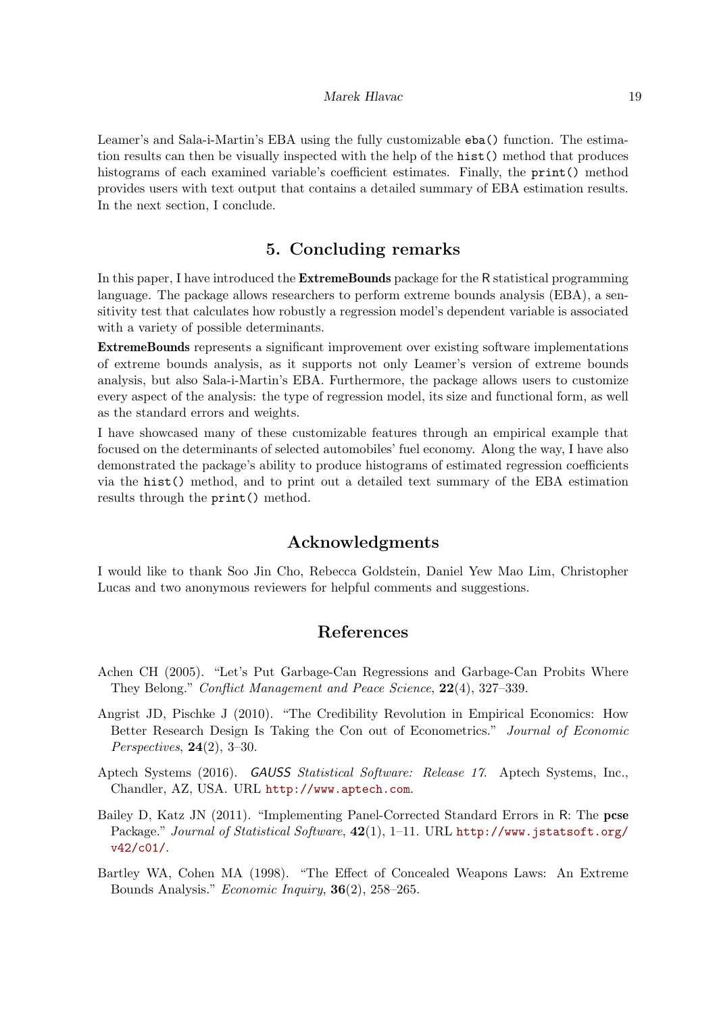Leamer's and Sala-i-Martin's EBA using the fully customizable eba() function. The estimation results can then be visually inspected with the help of the hist() method that produces histograms of each examined variable's coefficient estimates. Finally, the **print**() method provides users with text output that contains a detailed summary of EBA estimation results. In the next section, I conclude.

# 5. Concluding remarks

<span id="page-18-2"></span>In this paper, I have introduced the ExtremeBounds package for the R statistical programming language. The package allows researchers to perform extreme bounds analysis (EBA), a sensitivity test that calculates how robustly a regression model's dependent variable is associated with a variety of possible determinants.

ExtremeBounds represents a significant improvement over existing software implementations of extreme bounds analysis, as it supports not only Leamer's version of extreme bounds analysis, but also Sala-i-Martin's EBA. Furthermore, the package allows users to customize every aspect of the analysis: the type of regression model, its size and functional form, as well as the standard errors and weights.

I have showcased many of these customizable features through an empirical example that focused on the determinants of selected automobiles' fuel economy. Along the way, I have also demonstrated the package's ability to produce histograms of estimated regression coefficients via the hist() method, and to print out a detailed text summary of the EBA estimation results through the print() method.

# Acknowledgments

I would like to thank Soo Jin Cho, Rebecca Goldstein, Daniel Yew Mao Lim, Christopher Lucas and two anonymous reviewers for helpful comments and suggestions.

# References

- <span id="page-18-4"></span>Achen CH (2005). "Let's Put Garbage-Can Regressions and Garbage-Can Probits Where They Belong." Conflict Management and Peace Science, 22(4), 327–339.
- <span id="page-18-3"></span>Angrist JD, Pischke J (2010). "The Credibility Revolution in Empirical Economics: How Better Research Design Is Taking the Con out of Econometrics." Journal of Economic Perspectives, 24(2), 3–30.
- <span id="page-18-1"></span>Aptech Systems (2016). GAUSS Statistical Software: Release 17. Aptech Systems, Inc., Chandler, AZ, USA. URL <http://www.aptech.com>.
- <span id="page-18-5"></span>Bailey D, Katz JN (2011). "Implementing Panel-Corrected Standard Errors in R: The pcse Package." Journal of Statistical Software,  $42(1)$ , 1-11. URL [http://www.jstatsoft.org/](http://www.jstatsoft.org/v42/c01/) [v42/c01/](http://www.jstatsoft.org/v42/c01/).
- <span id="page-18-0"></span>Bartley WA, Cohen MA (1998). "The Effect of Concealed Weapons Laws: An Extreme Bounds Analysis." Economic Inquiry, 36(2), 258–265.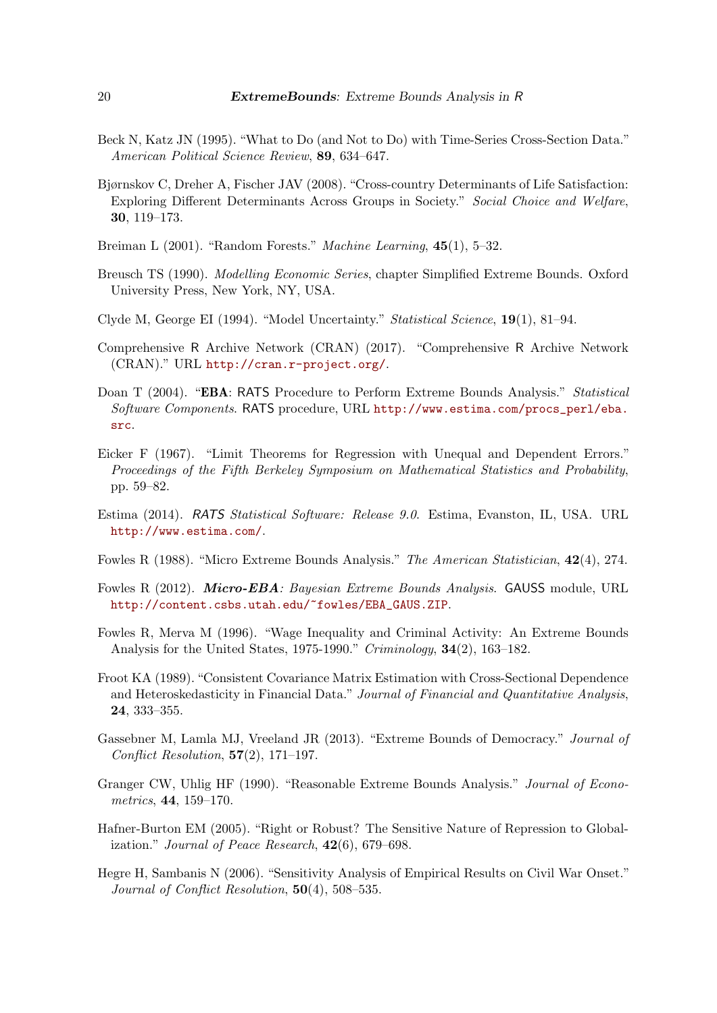- <span id="page-19-16"></span>Beck N, Katz JN (1995). "What to Do (and Not to Do) with Time-Series Cross-Section Data." American Political Science Review, 89, 634–647.
- <span id="page-19-13"></span>Bjørnskov C, Dreher A, Fischer JAV (2008). "Cross-country Determinants of Life Satisfaction: Exploring Different Determinants Across Groups in Society." Social Choice and Welfare, 30, 119–173.
- <span id="page-19-1"></span>Breiman L (2001). "Random Forests." Machine Learning, 45(1), 5–32.
- <span id="page-19-12"></span>Breusch TS (1990). Modelling Economic Series, chapter Simplified Extreme Bounds. Oxford University Press, New York, NY, USA.
- <span id="page-19-0"></span>Clyde M, George EI (1994). "Model Uncertainty." Statistical Science, 19(1), 81–94.
- <span id="page-19-11"></span>Comprehensive R Archive Network (CRAN) (2017). "Comprehensive R Archive Network (CRAN)." URL <http://cran.r-project.org/>.
- <span id="page-19-5"></span>Doan T (2004). "EBA: RATS Procedure to Perform Extreme Bounds Analysis." Statistical Software Components. RATS procedure, URL [http://www.estima.com/procs\\_perl/eba.](http://www.estima.com/procs_perl/eba.src) [src](http://www.estima.com/procs_perl/eba.src).
- <span id="page-19-14"></span>Eicker F (1967). "Limit Theorems for Regression with Unequal and Dependent Errors." Proceedings of the Fifth Berkeley Symposium on Mathematical Statistics and Probability, pp. 59–82.
- <span id="page-19-6"></span>Estima (2014). RATS Statistical Software: Release 9.0. Estima, Evanston, IL, USA. URL <http://www.estima.com/>.
- <span id="page-19-7"></span>Fowles R (1988). "Micro Extreme Bounds Analysis." The American Statistician, 42(4), 274.
- <span id="page-19-8"></span>Fowles R (2012). Micro-EBA: Bayesian Extreme Bounds Analysis. GAUSS module, URL [http://content.csbs.utah.edu/~fowles/EBA\\_GAUS.ZIP](http://content.csbs.utah.edu/~fowles/EBA_GAUS.ZIP).
- <span id="page-19-4"></span>Fowles R, Merva M (1996). "Wage Inequality and Criminal Activity: An Extreme Bounds Analysis for the United States, 1975-1990." Criminology, 34(2), 163–182.
- <span id="page-19-15"></span>Froot KA (1989). "Consistent Covariance Matrix Estimation with Cross-Sectional Dependence and Heteroskedasticity in Financial Data." Journal of Financial and Quantitative Analysis, 24, 333–355.
- <span id="page-19-2"></span>Gassebner M, Lamla MJ, Vreeland JR (2013). "Extreme Bounds of Democracy." Journal of Conflict Resolution,  $57(2)$ , 171–197.
- <span id="page-19-9"></span>Granger CW, Uhlig HF (1990). "Reasonable Extreme Bounds Analysis." Journal of Econometrics, 44, 159–170.
- <span id="page-19-3"></span>Hafner-Burton EM (2005). "Right or Robust? The Sensitive Nature of Repression to Globalization." Journal of Peace Research,  $42(6)$ , 679–698.
- <span id="page-19-10"></span>Hegre H, Sambanis N (2006). "Sensitivity Analysis of Empirical Results on Civil War Onset." Journal of Conflict Resolution, 50(4), 508–535.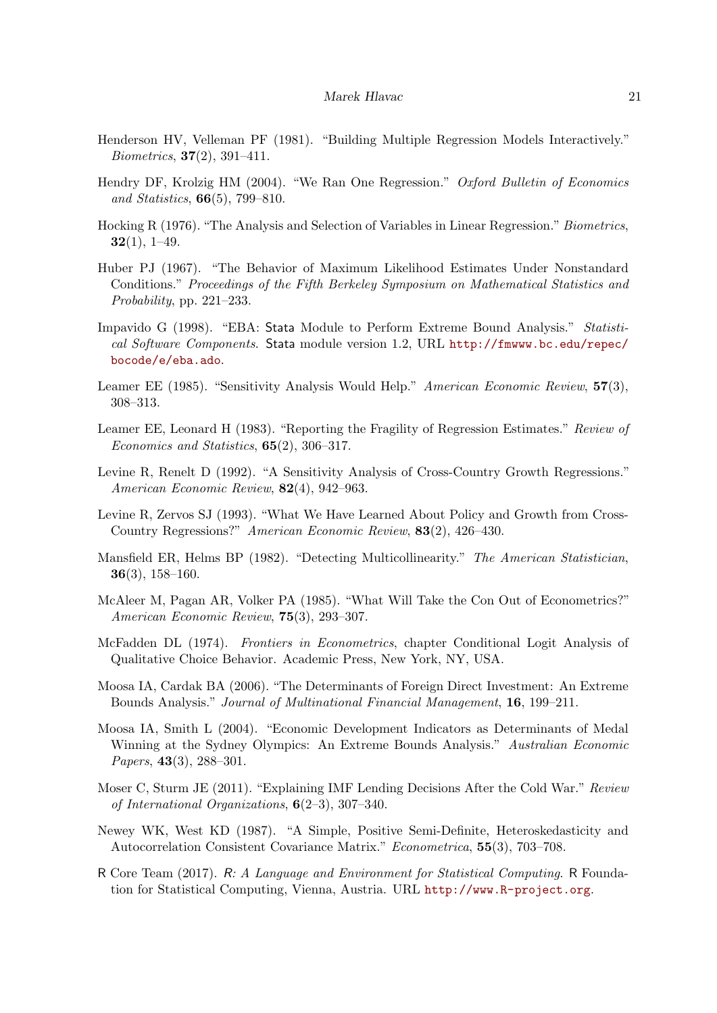- <span id="page-20-16"></span>Henderson HV, Velleman PF (1981). "Building Multiple Regression Models Interactively." *Biometrics*,  $37(2)$ ,  $391-411$ .
- <span id="page-20-10"></span>Hendry DF, Krolzig HM (2004). "We Ran One Regression." Oxford Bulletin of Economics and Statistics, 66(5), 799–810.
- <span id="page-20-15"></span>Hocking R (1976). "The Analysis and Selection of Variables in Linear Regression." Biometrics,  $32(1), 1-49.$
- <span id="page-20-13"></span>Huber PJ (1967). "The Behavior of Maximum Likelihood Estimates Under Nonstandard Conditions." Proceedings of the Fifth Berkeley Symposium on Mathematical Statistics and Probability, pp. 221–233.
- <span id="page-20-5"></span>Impavido G (1998). "EBA: Stata Module to Perform Extreme Bound Analysis." Statistical Software Components. Stata module version 1.2, URL [http://fmwww.bc.edu/repec/](http://fmwww.bc.edu/repec/bocode/e/eba.ado) [bocode/e/eba.ado](http://fmwww.bc.edu/repec/bocode/e/eba.ado).
- <span id="page-20-0"></span>Leamer EE (1985). "Sensitivity Analysis Would Help." American Economic Review,  $57(3)$ , 308–313.
- <span id="page-20-8"></span>Leamer EE, Leonard H (1983). "Reporting the Fragility of Regression Estimates." Review of Economics and Statistics, 65(2), 306–317.
- <span id="page-20-1"></span>Levine R, Renelt D (1992). "A Sensitivity Analysis of Cross-Country Growth Regressions." American Economic Review, 82(4), 942–963.
- <span id="page-20-11"></span>Levine R, Zervos SJ (1993). "What We Have Learned About Policy and Growth from Cross-Country Regressions?" American Economic Review, 83(2), 426–430.
- <span id="page-20-7"></span>Mansfield ER, Helms BP (1982). "Detecting Multicollinearity." The American Statistician, 36(3), 158–160.
- <span id="page-20-9"></span>McAleer M, Pagan AR, Volker PA (1985). "What Will Take the Con Out of Econometrics?" American Economic Review, 75(3), 293–307.
- <span id="page-20-12"></span>McFadden DL (1974). Frontiers in Econometrics, chapter Conditional Logit Analysis of Qualitative Choice Behavior. Academic Press, New York, NY, USA.
- <span id="page-20-2"></span>Moosa IA, Cardak BA (2006). "The Determinants of Foreign Direct Investment: An Extreme Bounds Analysis." Journal of Multinational Financial Management, 16, 199–211.
- <span id="page-20-4"></span>Moosa IA, Smith L (2004). "Economic Development Indicators as Determinants of Medal Winning at the Sydney Olympics: An Extreme Bounds Analysis." Australian Economic Papers, 43(3), 288-301.
- <span id="page-20-3"></span>Moser C, Sturm JE (2011). "Explaining IMF Lending Decisions After the Cold War." Review of International Organizations, 6(2–3), 307–340.
- <span id="page-20-14"></span>Newey WK, West KD (1987). "A Simple, Positive Semi-Definite, Heteroskedasticity and Autocorrelation Consistent Covariance Matrix." Econometrica, 55(3), 703–708.
- <span id="page-20-6"></span>R Core Team (2017). R: A Language and Environment for Statistical Computing. R Foundation for Statistical Computing, Vienna, Austria. URL <http://www.R-project.org>.